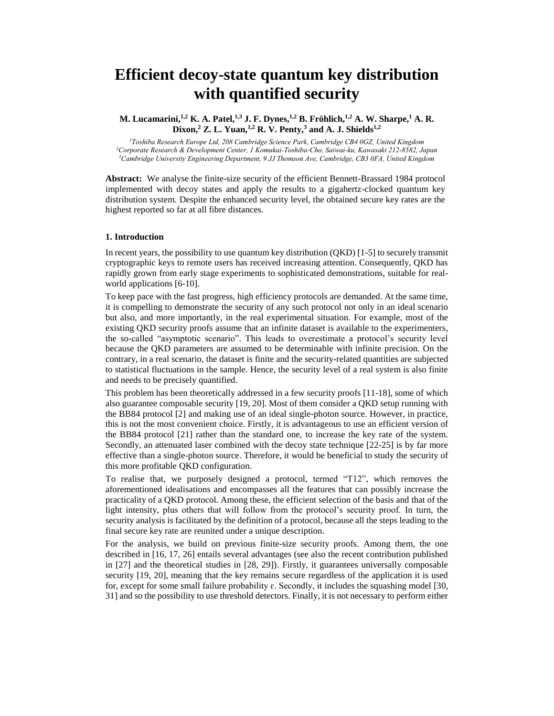# **Efficient decoy-state quantum key distribution with quantified security**

**M. Lucamarini, 1,2 K. A. Patel, 1,3 J. F. Dynes, 1,2 B. Fröhlich, 1,2 A. W. Sharpe, <sup>1</sup> A. R. Dixon, <sup>2</sup> Z. L. Yuan, 1,2 R. V. Penty, <sup>3</sup> and A. J. Shields1,2**

*<sup>1</sup>Toshiba Research Europe Ltd, 208 Cambridge Science Park, Cambridge CB4 0GZ, United Kingdom <sup>2</sup>Corporate Research & Development Center, 1 Komukai-Toshiba-Cho, Saiwai-ku, Kawasaki 212-8582, Japan <sup>3</sup>Cambridge University Engineering Department, 9 JJ Thomson Ave, Cambridge, CB3 0FA, United Kingdom*

**Abstract:** We analyse the finite-size security of the efficient Bennett-Brassard 1984 protocol

implemented with decoy states and apply the results to a gigahertz-clocked quantum key distribution system. Despite the enhanced security level, the obtained secure key rates are the highest reported so far at all fibre distances.

#### **1. Introduction**

In recent years, the possibility to use quantum key distribution (QKD) [1-5] to securely transmit cryptographic keys to remote users has received increasing attention. Consequently, QKD has rapidly grown from early stage experiments to sophisticated demonstrations, suitable for realworld applications [6-10].

To keep pace with the fast progress, high efficiency protocols are demanded. At the same time, it is compelling to demonstrate the security of any such protocol not only in an ideal scenario but also, and more importantly, in the real experimental situation. For example, most of the existing QKD security proofs assume that an infinite dataset is available to the experimenters, the so-called "asymptotic scenario". This leads to overestimate a protocol's security level because the QKD parameters are assumed to be determinable with infinite precision. On the contrary, in a real scenario, the dataset is finite and the security-related quantities are subjected to statistical fluctuations in the sample. Hence, the security level of a real system is also finite and needs to be precisely quantified.

This problem has been theoretically addressed in a few security proofs [11-18], some of which also guarantee composable security [19, 20]. Most of them consider a QKD setup running with the BB84 protocol [2] and making use of an ideal single-photon source. However, in practice, this is not the most convenient choice. Firstly, it is advantageous to use an efficient version of the BB84 protocol [21] rather than the standard one, to increase the key rate of the system. Secondly, an attenuated laser combined with the decoy state technique [22-25] is by far more effective than a single-photon source. Therefore, it would be beneficial to study the security of this more profitable QKD configuration.

To realise that, we purposely designed a protocol, termed "T12", which removes the aforementioned idealisations and encompasses all the features that can possibly increase the practicality of a QKD protocol. Among these, the efficient selection of the basis and that of the light intensity, plus others that will follow from the protocol's security proof. In turn, the security analysis is facilitated by the definition of a protocol, because all the steps leading to the final secure key rate are reunited under a unique description.

For the analysis, we build on previous finite-size security proofs. Among them, the one described in [16, 17, 26] entails several advantages (see also the recent contribution published in [27] and the theoretical studies in [28, 29]). Firstly, it guarantees universally composable security [19, 20], meaning that the key remains secure regardless of the application it is used for, except for some small failure probability  $\varepsilon$ . Secondly, it includes the squashing model [30, 31] and so the possibility to use threshold detectors. Finally, it is not necessary to perform either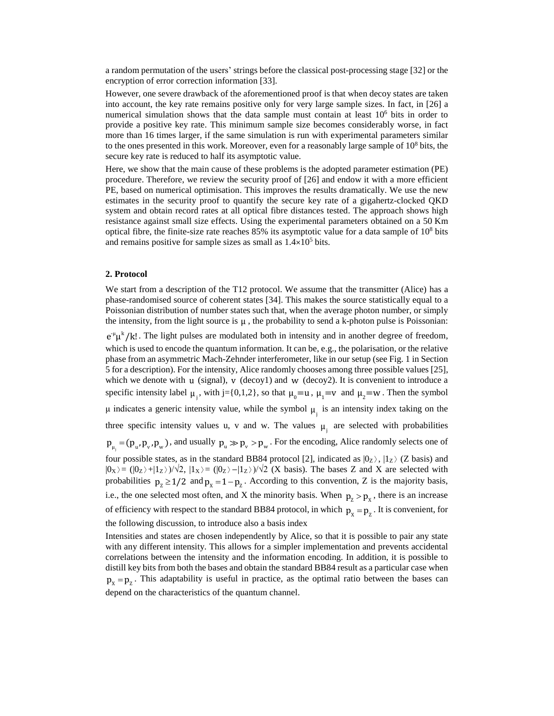a random permutation of the users' strings before the classical post-processing stage [32] or the encryption of error correction information [33].

However, one severe drawback of the aforementioned proof is that when decoy states are taken into account, the key rate remains positive only for very large sample sizes. In fact, in [26] a numerical simulation shows that the data sample must contain at least  $10<sup>6</sup>$  bits in order to provide a positive key rate. This minimum sample size becomes considerably worse, in fact more than 16 times larger, if the same simulation is run with experimental parameters similar to the ones presented in this work. Moreover, even for a reasonably large sample of  $10^8$  bits, the secure key rate is reduced to half its asymptotic value.

Here, we show that the main cause of these problems is the adopted parameter estimation (PE) procedure. Therefore, we review the security proof of [26] and endow it with a more efficient PE, based on numerical optimisation. This improves the results dramatically. We use the new estimates in the security proof to quantify the secure key rate of a gigahertz-clocked QKD system and obtain record rates at all optical fibre distances tested. The approach shows high resistance against small size effects. Using the experimental parameters obtained on a 50.Km optical fibre, the finite-size rate reaches  $85\%$  its asymptotic value for a data sample of  $10^8$  bits and remains positive for sample sizes as small as  $1.4 \times 10^5$  bits.

## **2. Protocol**

We start from a description of the T12 protocol. We assume that the transmitter (Alice) has a phase-randomised source of coherent states [34]. This makes the source statistically equal to a Poissonian distribution of number states such that, when the average photon number, or simply the intensity, from the light source is  $\mu$ , the probability to send a k-photon pulse is Poissonian:

 $e^{\mu} \mu^{k}$ /k!. The light pulses are modulated both in intensity and in another degree of freedom, which is used to encode the quantum information. It can be, e.g., the polarisation, or the relative phase from an asymmetric Mach-Zehnder interferometer, like in our setup (see Fig. 1 in Section 5 for a description). For the intensity, Alice randomly chooses among three possible values [25], which we denote with  $u$  (signal),  $v$  (decoy1) and  $w$  (decoy2). It is convenient to introduce a specific intensity label  $\mu_1$ , with j={0,1,2}, so that  $\mu_0 = u$ ,  $\mu_1 = v$  and  $\mu_2 = w$ . Then the symbol μ indicates a generic intensity value, while the symbol  $μ$ <sub>i</sub> is an intensity index taking on the three specific intensity values u, v and w. The values  $\mu_j$  are selected with probabilities  $p_{\mu_j} = (p_{\mu}, p_{\nu}, p_{\nu})$ , and usually  $p_{\mu} \gg p_{\nu} > p_{\nu}$ . For the encoding, Alice randomly selects one of four possible states, as in the standard BB84 protocol [2], indicated as  $|0_z\rangle$ ,  $|1_z\rangle$  (Z basis) and  $|0x\rangle = (|0z\rangle + |1z\rangle)/\sqrt{2}$ ,  $|1x\rangle = (|0z\rangle - |1z\rangle)/\sqrt{2}$  (X basis). The bases Z and X are selected with probabilities  $p_z \ge 1/2$  and  $p_x = 1 - p_z$ . According to this convention, Z is the majority basis, i.e., the one selected most often, and X the minority basis. When  $p_z > p_x$ , there is an increase of efficiency with respect to the standard BB84 protocol, in which  $p_x = p_z$ . It is convenient, for the following discussion, to introduce also a basis index

Intensities and states are chosen independently by Alice, so that it is possible to pair any state with any different intensity. This allows for a simpler implementation and prevents accidental correlations between the intensity and the information encoding. In addition, it is possible to distill key bits from both the bases and obtain the standard BB84 result as a particular case when  $p_y = p_z$ . This adaptability is useful in practice, as the optimal ratio between the bases can depend on the characteristics of the quantum channel.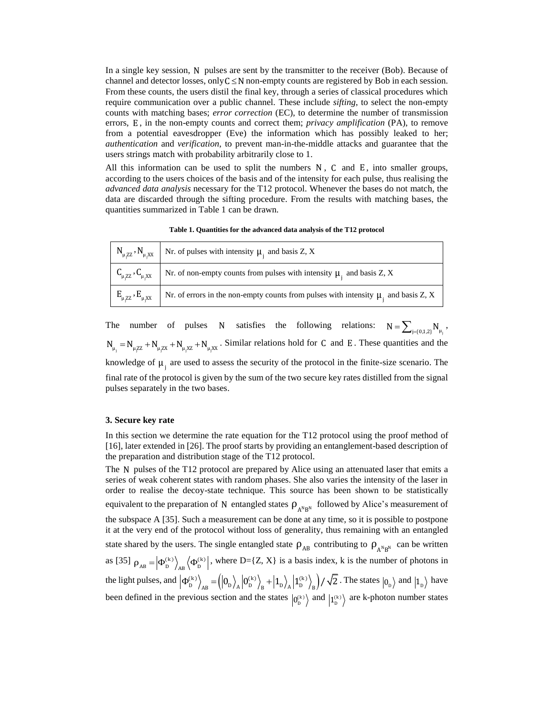In a single key session, N pulses are sent by the transmitter to the receiver (Bob). Because of channel and detector losses, only  $C \leq N$  non-empty counts are registered by Bob in each session. From these counts, the users distil the final key, through a series of classical procedures which require communication over a public channel. These include *sifting*, to select the non-empty counts with matching bases; *error correction* (EC), to determine the number of transmission errors, E , in the non-empty counts and correct them; *privacy amplification* (PA), to remove from a potential eavesdropper (Eve) the information which has possibly leaked to her; *authentication* and *verification*, to prevent man-in-the-middle attacks and guarantee that the users strings match with probability arbitrarily close to 1.

All this information can be used to split the numbers  $N$ ,  $C$  and  $E$ , into smaller groups, according to the users choices of the basis and of the intensity for each pulse, thus realising the *advanced data analysis* necessary for the T12 protocol. Whenever the bases do not match, the data are discarded through the sifting procedure. From the results with matching bases, the quantities summarized in Table 1 can be drawn.

**Table 1. Quantities for the advanced data analysis of the T12 protocol**

| $\left  N_{\mu, ZZ}, N_{\mu, XX} \right $ Nr. of pulses with intensity $\mu_i$ and basis Z, X                                                     |
|---------------------------------------------------------------------------------------------------------------------------------------------------|
| $\left\{ \begin{array}{c} C_{\mu, ZZ}, C_{\mu, X} \end{array} \right\}$ Nr. of non-empty counts from pulses with intensity $\mu_i$ and basis Z, X |
| $E_{\mu, ZZ}$ , $E_{\mu, XX}$ Nr. of errors in the non-empty counts from pulses with intensity $\mu_i$ and basis Z, X                             |

The number of pulses N satisfies the following relations:  $N = \sum_{j=\{0,1,2\}} N_{\mu_j}$ ,  $N_{\mu_j} = N_{\mu_j ZZ} + N_{\mu_j XZ} + N_{\mu_j XZ}$ . Similar relations hold for C and E. These quantities and the knowledge of  $\mu_i$  are used to assess the security of the protocol in the finite-size scenario. The final rate of the protocol is given by the sum of the two secure key rates distilled from the signal pulses separately in the two bases.

## **3. Secure key rate**

In this section we determine the rate equation for the T12 protocol using the proof method of [16], later extended in [26]. The proof starts by providing an entanglement-based description of the preparation and distribution stage of the T12 protocol.

The N pulses of the T12 protocol are prepared by Alice using an attenuated laser that emits a series of weak coherent states with random phases. She also varies the intensity of the laser in order to realise the decoy-state technique. This source has been shown to be statistically equivalent to the preparation of N entangled states  $\rho_{A^N B^N}$  followed by Alice's measurement of the subspace A [35]. Such a measurement can be done at any time, so it is possible to postpone it at the very end of the protocol without loss of generality, thus remaining with an entangled state shared by the users. The single entangled state  $\rho_{AB}$  contributing to  $\rho_{A^N B^N}$  can be written as [35]  $\rho_{AB} = |\Phi_{D}^{(k)}\rangle_{AB} \langle \Phi_{D}^{(k)}|$ , where D={Z, X} is a basis index, k is the number of photons in the light pulses, and  $\left| \Phi_{D}^{(k)} \right\rangle_{\scriptscriptstyle{AP}} = \left( \left| 0_{D} \right\rangle_{\scriptscriptstyle{A}} \left| 0_{D}^{(k)} \right\rangle_{\scriptscriptstyle{P}} + \left| 1_{D} \right\rangle_{\scriptscriptstyle{A}} \left| 1_{D}^{(k)} \right\rangle_{\scriptscriptstyle{D}} \right)$  $\Phi_{D}^{(k)}\Big\rangle_{AB} = \left(\Big|0_{D}\Big|_{A}\Big|0_{D}^{(k)}\Big|_{B} + \Big|1_{D}\Big|_{A}\Big|1_{D}^{(k)}\Big|_{B}\right)/\sqrt{2}$ . The states  $\Big|0_{D}\Big\rangle$  and  $\Big|1_{D}\Big\rangle$  have been defined in the previous section and the states  $|0_{D}^{(k)}\rangle$  and  $|1_{D}^{(k)}\rangle$  are k-photon number states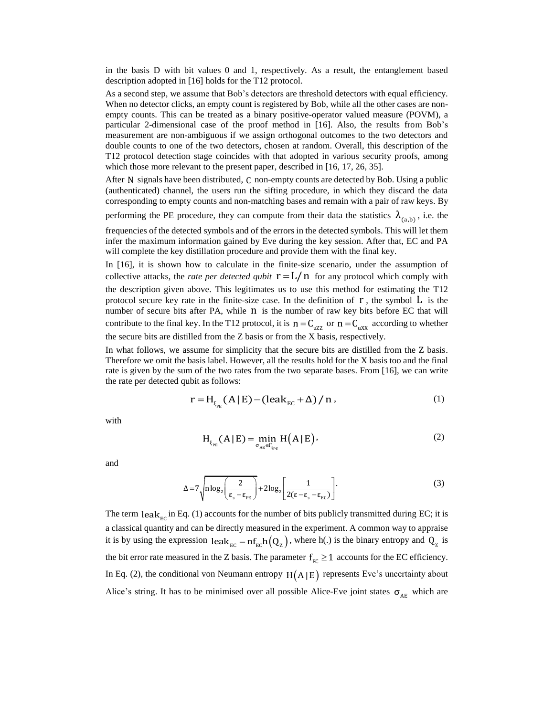in the basis D with bit values 0 and 1, respectively. As a result, the entanglement based description adopted in [16] holds for the T12 protocol.

As a second step, we assume that Bob's detectors are threshold detectors with equal efficiency. When no detector clicks, an empty count is registered by Bob, while all the other cases are nonempty counts. This can be treated as a binary positive-operator valued measure (POVM), a particular 2-dimensional case of the proof method in [16]. Also, the results from Bob's measurement are non-ambiguous if we assign orthogonal outcomes to the two detectors and double counts to one of the two detectors, chosen at random. Overall, this description of the T12 protocol detection stage coincides with that adopted in various security proofs, among which those more relevant to the present paper, described in [16, 17, 26, 35].

After N signals have been distributed, C non-empty counts are detected by Bob. Using a public (authenticated) channel, the users run the sifting procedure, in which they discard the data corresponding to empty counts and non-matching bases and remain with a pair of raw keys. By

performing the PE procedure, they can compute from their data the statistics  $\lambda_{(a,b)}$ , i.e. the

frequencies of the detected symbols and of the errors in the detected symbols. This will let them infer the maximum information gained by Eve during the key session. After that, EC and PA will complete the key distillation procedure and provide them with the final key.

In [16], it is shown how to calculate in the finite-size scenario, under the assumption of collective attacks, the *rate per detected qubit*  $r = L/n$  for any protocol which comply with the description given above. This legitimates us to use this method for estimating the T12 protocol secure key rate in the finite-size case. In the definition of  $r$ , the symbol  $L$  is the number of secure bits after PA, while n is the number of raw key bits before EC that will contribute to the final key. In the T12 protocol, it is  $n = C_{\text{uZZ}}$  or  $n = C_{\text{uXX}}$  according to whether the secure bits are distilled from the Z basis or from the X basis, respectively.

In what follows, we assume for simplicity that the secure bits are distilled from the Z basis. Therefore we omit the basis label. However, all the results hold for the X basis too and the final rate is given by the sum of the two rates from the two separate bases. From [16], we can write the rate per detected qubit as follows:

$$
r = H_{\xi_{PE}}(A | E) - (leak_{EC} + \Delta) / n , \qquad (1)
$$

with

$$
H_{\xi_{PE}}(A \mid E) = \min_{\sigma_{AE} \in \Gamma_{\xi_{PE}}} H(A \mid E), \tag{2}
$$

and

$$
\Delta = 7 \sqrt{n \log_2 \left( \frac{2}{\epsilon_s - \epsilon_{\text{PE}}} \right)} + 2 \log_2 \left[ \frac{1}{2(\epsilon - \epsilon_s - \epsilon_{\text{EC}})} \right].
$$
 (3)

The term  $\text{leak}_{\text{EC}}$  in Eq. (1) accounts for the number of bits publicly transmitted during EC; it is a classical quantity and can be directly measured in the experiment. A common way to appraise it is by using the expression  $\text{leak}_{\text{EC}} = \text{nf}_{\text{EC}}h(Q_z)$ , where h(.) is the binary entropy and  $Q_z$  is the bit error rate measured in the Z basis. The parameter  $f_{\text{EC}} \ge 1$  accounts for the EC efficiency. In Eq. (2), the conditional von Neumann entropy  $H(A|E)$  represents Eve's uncertainty about Alice's string. It has to be minimised over all possible Alice-Eve joint states  $\sigma_{AE}$  which are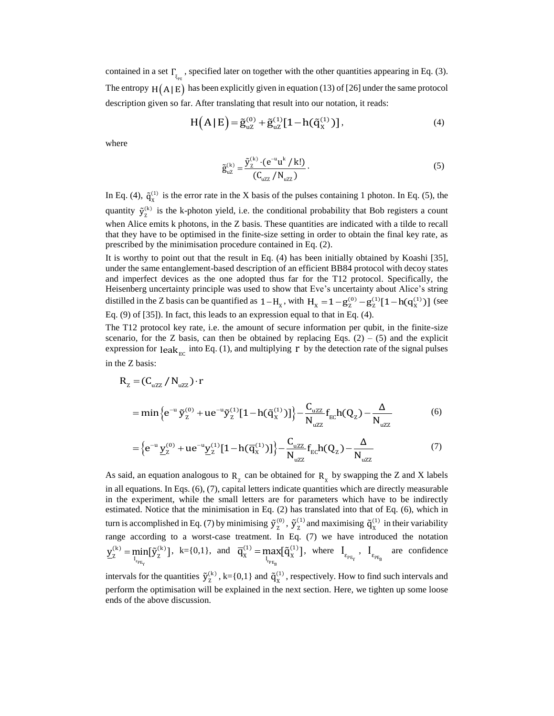contained in a set  $\Gamma_{\xi_{p_E}}$ , specified later on together with the other quantities appearing in Eq. (3). The entropy  $H(A|E)$  has been explicitly given in equation (13) of [26] under the same protocol

description given so far. After translating that result into our notation, it reads:  
\n
$$
H(A | E) = \tilde{g}_{uZ}^{(0)} + \tilde{g}_{uZ}^{(1)} [1 - h(\tilde{q}_X^{(1)})],
$$
\n(4)

where

$$
\tilde{g}_{uZ}^{(k)} = \frac{\tilde{y}_Z^{(k)} \cdot (e^{-u} u^k / k!)}{(C_{uZZ} / N_{uZZ})}.
$$
\n(5)

In Eq. (4),  $\tilde{q}_X^{(1)}$  is the error rate in the X basis of the pulses containing 1 photon. In Eq. (5), the quantity  $\tilde{y}_z^{(k)}$  is the k-photon yield, i.e. the conditional probability that Bob registers a count when Alice emits k photons, in the Z basis. These quantities are indicated with a tilde to recall that they have to be optimised in the finite-size setting in order to obtain the final key rate, as prescribed by the minimisation procedure contained in Eq. (2).

It is worthy to point out that the result in Eq. (4) has been initially obtained by Koashi [35], under the same entanglement-based description of an efficient BB84 protocol with decoy states and imperfect devices as the one adopted thus far for the T12 protocol. Specifically, the Heisenberg uncertainty principle was used to show that Eve's uncertainty about Alice's string Heisenberg uncertainty principle was used to show that Eve's uncertainty about Alice's string distilled in the Z basis can be quantified as  $1-H_x$ , with  $H_x = 1 - g_z^{(0)} - g_z^{(1)}[1-h(q_x^{(1)})]$  (see Eq. (9) of [35]). In fact, this leads to an expression equal to that in Eq. (4).

The T12 protocol key rate, i.e. the amount of secure information per qubit, in the finite-size scenario, for the Z basis, can then be obtained by replacing Eqs.  $(2) - (5)$  and the explicit expression for  $\text{leak}_{\text{EC}}$  into Eq. (1), and multiplying r by the detection rate of the signal pulses in the Z basis:

$$
R_{z} = (C_{uzz} / N_{uzz}) \cdot r
$$
  
= min  $\{e^{-u} \tilde{y}_{z}^{(0)} + ue^{-u} \tilde{y}_{z}^{(1)} [1 - h(\tilde{q}_{x}^{(1)})]\} - \frac{C_{uzz}}{N_{uzz}} f_{EC} h(Q_{z}) - \frac{\Delta}{N_{uzz}}$  (6)  
=  $\{e^{-u} \underline{y}_{z}^{(0)} + ue^{-u} \underline{y}_{z}^{(1)} [1 - h(\overline{q}_{x}^{(1)})]\} - \frac{C_{uzz}}{N_{uzz}} f_{EC} h(Q_{z}) - \frac{\Delta}{N_{uzz}}$  (7)

$$
= \left\{ e^{-u} \underline{y}_z^{(0)} + u e^{-u} \underline{y}_z^{(1)} [1 - h(\overline{q}_x^{(1)})] \right\} - \frac{C_{uzz}}{N_{uzz}} f_{EC} h(Q_z) - \frac{\Delta}{N_{uzz}} \tag{7}
$$

As said, an equation analogous to  $R_z$  can be obtained for  $R_x$  by swapping the Z and X labels in all equations. In Eqs. (6), (7), capital letters indicate quantities which are directly measurable in the experiment, while the small letters are for parameters which have to be indirectly estimated. Notice that the minimisation in Eq. (2) has translated into that of Eq. (6), which in turn is accomplished in Eq. (7) by minimising  $\tilde{y}_{7}^{(0)}$  ${\tilde{\mathbf{y}}}_{\text{\tiny Z}}^{(0)},\,{\tilde{\mathbf{y}}}_{\text{\tiny Z}}^{(1)}$  $\tilde{y}_z^{(1)}$  and maximising  $\tilde{q}_x^{(1)}$  $\tilde{q}_X^{(1)}$  in their variability range according to a worst-case treatment. In Eq. (7) we have introduced the notation ε $_{PEY}$  $(k)$  – min $\tilde{\mathfrak{m}}(k)$  $\underline{y}_{z}^{(k)} = \min_{z} [\tilde{y}_{z}^{(k)}], k = \{0,1\}, \text{ and}$ ε $PE_B$  $(1)$  – may $\bar{a}$  $(1)$  $\overline{q}_{X}^{(1)} = \max_{l_{\text{max}}} [\tilde{q}_{X}^{(1)}],$  where  $l_{\epsilon_{p_{\text{E}_{Y}}}}$ ,  $l_{\epsilon_{p_{\text{E}_{B}}}}$  are confidence intervals for the quantities  $\tilde{y}_{7}^{(k)}$ 

 $\tilde{y}_z^{(k)}$ , k={0,1} and  $\tilde{q}_x^{(1)}$  $\tilde{q}_X^{(1)}$ , respectively. How to find such intervals and perform the optimisation will be explained in the next section. Here, we tighten up some loose ends of the above discussion.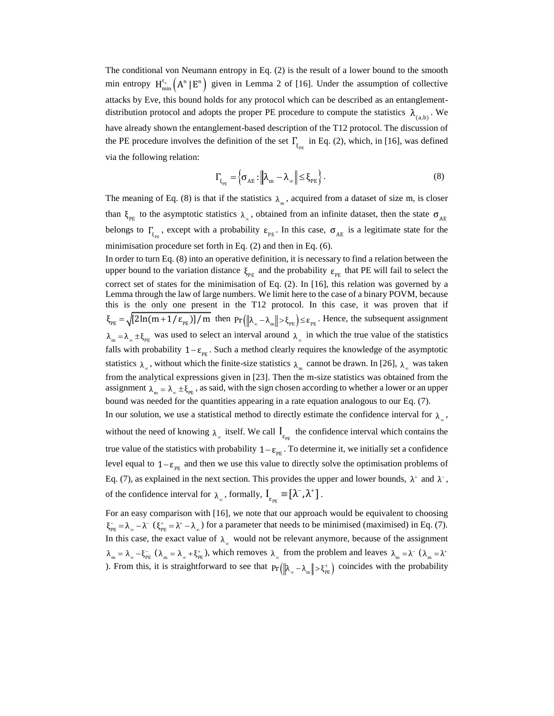The conditional von Neumann entropy in Eq. (2) is the result of a lower bound to the smooth min entropy  $H_{min}^{\epsilon_s}(A^n | E^n)$  given in Lemma 2 of [16]. Under the assumption of collective attacks by Eve, this bound holds for any protocol which can be described as an entanglementdistribution protocol and adopts the proper PE procedure to compute the statistics  $\lambda_{(a,b)}$ . We have already shown the entanglement-based description of the T12 protocol. The discussion of the PE procedure involves the definition of the set  $\Gamma_{\xi_{p_E}}$  in Eq. (2), which, in [16], was defined via the following relation:

$$
\Gamma_{\xi_{PE}} = \left\{ \sigma_{AE} : \left\| \lambda_m - \lambda_{\infty} \right\| \leq \xi_{PE} \right\}.
$$
\n(8)

The meaning of Eq. (8) is that if the statistics  $\lambda_{m}$ , acquired from a dataset of size m, is closer than  $\xi_{PE}$  to the asymptotic statistics  $\lambda_{\infty}$ , obtained from an infinite dataset, then the state  $\sigma_{AE}$ belongs to  $\Gamma_{\xi_{p_E}}$ , except with a probability  $\varepsilon_{p_E}$ . In this case,  $\sigma_{AE}$  is a legitimate state for the minimisation procedure set forth in Eq. (2) and then in Eq. (6).

In order to turn Eq. (8) into an operative definition, it is necessary to find a relation between the upper bound to the variation distance  $\xi_{PE}$  and the probability  $\varepsilon_{PE}$  that PE will fail to select the correct set of states for the minimisation of Eq. (2). In [16], this relation was governed by a Lemma through the law of large numbers. We limit here to the case of a binary POVM, because this is the only one present in the T12 protocol. In this case, it was proven that if  $\xi_{PE} = \sqrt{[2\ln(m+1/\epsilon_{PE})]/m}$  then  $Pr(\|\lambda_{\infty} - \lambda_{m}\| > \xi_{PE}) \le \epsilon_{PE}$ . Hence, the subsequent assignment  $\lambda_m = \lambda_\infty \pm \xi_{PE}$  was used to select an interval around  $\lambda_\infty$  in which the true value of the statistics falls with probability  $1 - \varepsilon_{\text{PE}}$ . Such a method clearly requires the knowledge of the asymptotic statistics  $\lambda_{\infty}$ , without which the finite-size statistics  $\lambda_{\min}$  cannot be drawn. In [26],  $\lambda_{\infty}$  was taken from the analytical expressions given in [23]. Then the m-size statistics was obtained from the assignment  $\lambda_m = \lambda_\infty \pm \xi_{\text{PE}}$ , as said, with the sign chosen according to whether a lower or an upper bound was needed for the quantities appearing in a rate equation analogous to our Eq. (7). In our solution, we use a statistical method to directly estimate the confidence interval for  $\lambda_{\infty}$ , without the need of knowing  $\lambda_{\infty}$  itself. We call  $I_{\varepsilon_{PE}}$  the confidence interval which contains the true value of the statistics with probability  $1-\varepsilon_{\text{PE}}$ . To determine it, we initially set a confidence level equal to  $1 - \varepsilon_{\text{PE}}$  and then we use this value to directly solve the optimisation problems of Eq. (7), as explained in the next section. This provides the upper and lower bounds,  $\lambda^+$  and  $\lambda^-$ , of the confidence interval for  $\lambda_{\infty}$ , formally,  $I_{\varepsilon_{\text{PE}}} \equiv [\lambda^-, \lambda^+]$ .

For an easy comparison with [16], we note that our approach would be equivalent to choosing  $\xi_{\text{PE}}^- = \lambda_{\infty} - \lambda^{-} (\xi_{\text{PE}}^+ = \lambda^+ - \lambda_{\infty})$  for a parameter that needs to be minimised (maximised) in Eq. (7). In this case, the exact value of  $\lambda_{\infty}$  would not be relevant anymore, because of the assignment  $\lambda_{m} = \lambda_{\infty} - \xi_{PE}^{-}$  ( $\lambda_{m} = \lambda_{\infty} + \xi_{PE}^{+}$ ), which removes  $\lambda_{\infty}$  from the problem and leaves  $\lambda_{m} = \lambda^{-}$  ( $\lambda_{m} = \lambda^{+}$ ). From this, it is straightforward to see that  $Pr(\|\lambda_{\infty} - \lambda_{m}\| > \xi_{PE}^{t})$  coincides with the probability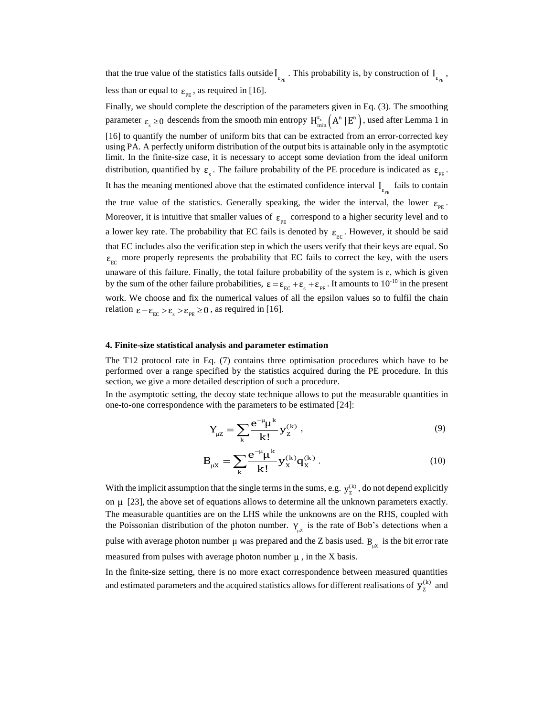that the true value of the statistics falls outside  $I_{\epsilon_{p_E}}$ . This probability is, by construction of  $I_{\epsilon_{p_E}}$ , less than or equal to  $\varepsilon_{PE}$ , as required in [16].

Finally, we should complete the description of the parameters given in Eq. (3). The smoothing parameter  $\varepsilon_s \ge 0$  descends from the smooth min entropy  $H_{min}^{\varepsilon_s}(A^n | E^n)$ , used after Lemma 1 in [16] to quantify the number of uniform bits that can be extracted from an error-corrected key using PA. A perfectly uniform distribution of the output bits is attainable only in the asymptotic limit. In the finite-size case, it is necessary to accept some deviation from the ideal uniform distribution, quantified by  $\varepsilon_{\rm s}$ . The failure probability of the PE procedure is indicated as  $\varepsilon_{\rm p_E}$ . It has the meaning mentioned above that the estimated confidence interval  $I_{\epsilon_{PE}}$  fails to contain the true value of the statistics. Generally speaking, the wider the interval, the lower  $\varepsilon_{\text{pe}}$ . Moreover, it is intuitive that smaller values of  $\varepsilon_{PE}$  correspond to a higher security level and to a lower key rate. The probability that EC fails is denoted by  $\varepsilon_{\text{EC}}$ . However, it should be said that EC includes also the verification step in which the users verify that their keys are equal. So  $\varepsilon_{\text{EC}}$  more properly represents the probability that EC fails to correct the key, with the users unaware of this failure. Finally, the total failure probability of the system is  $\varepsilon$ , which is given by the sum of the other failure probabilities,  $\varepsilon = \varepsilon_{\text{EC}} + \varepsilon_{\text{s}} + \varepsilon_{\text{PE}}$ . It amounts to  $10^{-10}$  in the present work. We choose and fix the numerical values of all the epsilon values so to fulfil the chain relation  $\varepsilon - \varepsilon_{\text{EC}} > \varepsilon_{\text{s}} > \varepsilon_{\text{PE}} \ge 0$ , as required in [16].

#### **4. Finite-size statistical analysis and parameter estimation**

The T12 protocol rate in Eq. (7) contains three optimisation procedures which have to be performed over a range specified by the statistics acquired during the PE procedure. In this section, we give a more detailed description of such a procedure.

In the asymptotic setting, the decoy state technique allows to put the measurable quantities in one-to-one correspondence with the parameters to be estimated [24]:

$$
Y_{\mu Z} = \sum_{k} \frac{e^{-\mu} \mu^{k}}{k!} y_{Z}^{(k)},
$$
\n(9)

$$
B_{\mu X} = \sum_{k} \frac{e^{-\mu} \mu^{k}}{k!} y_{X}^{(k)} q_{X}^{(k)}.
$$
 (10)

With the implicit assumption that the single terms in the sums, e.g.  $y_{z}^{(k)}$ , do not depend explicitly on  $\mu$  [23], the above set of equations allows to determine all the unknown parameters exactly. The measurable quantities are on the LHS while the unknowns are on the RHS, coupled with the Poissonian distribution of the photon number.  $Y_{\mu Z}$  is the rate of Bob's detections when a pulse with average photon number  $\mu$  was prepared and the Z basis used.  $B_{\mu X}$  is the bit error rate measured from pulses with average photon number  $\mu$ , in the X basis.

In the finite-size setting, there is no more exact correspondence between measured quantities and estimated parameters and the acquired statistics allows for different realisations of  $y_{n}^{(k)}$  $y_{Z}^{(k)}$  and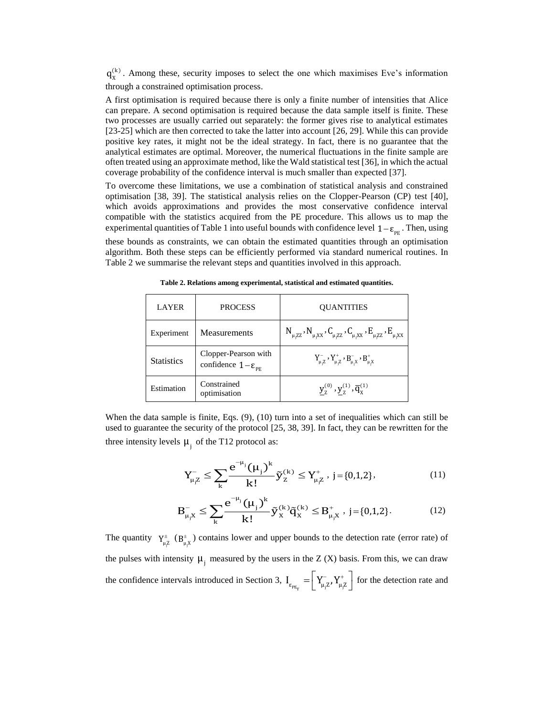$(k)$  $q_{x}^{(k)}$ . Among these, security imposes to select the one which maximises Eve's information through a constrained optimisation process.

A first optimisation is required because there is only a finite number of intensities that Alice can prepare. A second optimisation is required because the data sample itself is finite. These two processes are usually carried out separately: the former gives rise to analytical estimates [23-25] which are then corrected to take the latter into account [26, 29]. While this can provide positive key rates, it might not be the ideal strategy. In fact, there is no guarantee that the analytical estimates are optimal. Moreover, the numerical fluctuations in the finite sample are often treated using an approximate method, like the Wald statistical test [36], in which the actual coverage probability of the confidence interval is much smaller than expected [37].

To overcome these limitations, we use a combination of statistical analysis and constrained optimisation [38, 39]. The statistical analysis relies on the Clopper-Pearson (CP) test [40], which avoids approximations and provides the most conservative confidence interval compatible with the statistics acquired from the PE procedure. This allows us to map the experimental quantities of Table 1 into useful bounds with confidence level  $1 - \varepsilon_{\text{PE}}$ . Then, using

these bounds as constraints, we can obtain the estimated quantities through an optimisation algorithm. Both these steps can be efficiently performed via standard numerical routines. In Table 2 we summarise the relevant steps and quantities involved in this approach.

| <b>LAYER</b>      | <b>PROCESS</b>                                                 | <b>OUANTITIES</b>                                                                             |
|-------------------|----------------------------------------------------------------|-----------------------------------------------------------------------------------------------|
| Experiment        | Measurements                                                   | $N_{\mu, ZZ}$ , $N_{\mu, XX}$ , $C_{\mu, ZZ}$ , $C_{\mu, XX}$ , $E_{\mu, ZZ}$ , $E_{\mu, XX}$ |
| <b>Statistics</b> | Clopper-Pearson with<br>confidence $1-\varepsilon_{\text{pr}}$ | $Y_{\mu,Z}^-, Y_{\mu,Z}^+, B_{\mu,X}^-, B_{\mu,X}^+$                                          |
| Estimation        | Constrained<br>optimisation                                    | $y_7^{(0)}, y_7^{(1)}, \overline{q}_x^{(1)}$                                                  |

**Table 2. Relations among experimental, statistical and estimated quantities.**

When the data sample is finite, Eqs. (9), (10) turn into a set of inequalities which can still be used to guarantee the security of the protocol [25, 38, 39]. In fact, they can be rewritten for the three intensity levels  $\mu_j$  of the T12 protocol as:

$$
Y_{\mu,Z}^{-} \leq \sum_{k} \frac{e^{-\mu_j} (\mu_j)^k}{k!} \tilde{y}_z^{(k)} \leq Y_{\mu,Z}^{+}, \ j = \{0,1,2\},
$$
 (11)

$$
B_{\mu,X}^{-} \leq \sum_{k} \frac{e^{-\mu_{j}} (\mu_{j})^{k}}{k!} \tilde{y}_{X}^{(k)} \tilde{q}_{X}^{(k)} \leq B_{\mu,X}^{+}, \ j = \{0,1,2\}.
$$
 (12)

The quantity  $Y_{\mu,\mathbb{Z}}^{\pm}$  ( $B_{\mu,X}^{\pm}$ ) contains lower and upper bounds to the detection rate (error rate) of the pulses with intensity  $\mu_j$  measured by the users in the Z (X) basis. From this, we can draw the confidence intervals introduced in Section 3,  $I_{\epsilon_{PE_Y}} = \left[ Y_{\mu_j Z}^-, Y_{\mu_j Z}^+ \right]$  for the detection rate and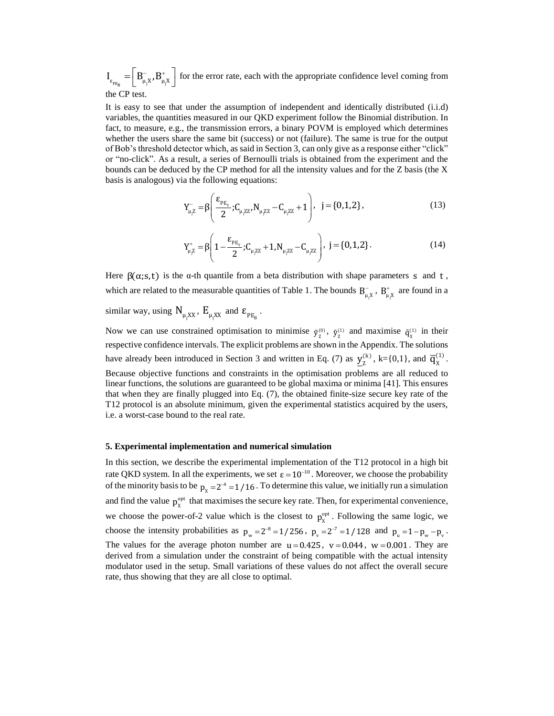$I_{\epsilon_{PE_B}} = \left[ B_{\mu_j X}^-, B_{\mu_j X}^+ \right]$  for the error rate, each with the appropriate confidence level coming from the CP test.

It is easy to see that under the assumption of independent and identically distributed (i.i.d) variables, the quantities measured in our QKD experiment follow the Binomial distribution. In fact, to measure, e.g., the transmission errors, a binary POVM is employed which determines whether the users share the same bit (success) or not (failure). The same is true for the output of Bob's threshold detector which, as said in Section 3, can only give as a response either "click" or "no-click". As a result, a series of Bernoulli trials is obtained from the experiment and the bounds can be deduced by the CP method for all the intensity values and for the Z basis (the X basis is analogous) via the following equations:

$$
Y_{\mu, Z}^{-} = \beta \left( \frac{\varepsilon_{_{PE_{Y}}}}{2}; C_{\mu, ZZ}, N_{\mu, ZZ} - C_{\mu, ZZ} + 1 \right), \quad j = \{0, 1, 2\},
$$
\n(13)

$$
Y_{\mu,Z}^{+} = \beta \left( 1 - \frac{\varepsilon_{PE_{Y}}}{2}; C_{\mu,ZZ} + 1, N_{\mu,ZZ} - C_{\mu,ZZ} \right), \quad j = \{0, 1, 2\}.
$$
 (14)

Here  $\beta(\alpha; s, t)$  is the  $\alpha$ -th quantile from a beta distribution with shape parameters s and t, which are related to the measurable quantities of Table 1. The bounds  $B_{\mu,\lambda}^-$ ,  $B_{\mu,\lambda}^+$  are found in a

similar way, using  $N_{\mu_jXX}$ ,  $E_{\mu_jXX}$  and  $\varepsilon_{PE_B}$ .

Now we can use constrained optimisation to minimise  $\tilde{y}_z^{(0)}$ ,  $\tilde{y}_z^{(1)}$  and maximise  $\tilde{q}_x^{(1)}$  in their respective confidence intervals. The explicit problems are shown in the Appendix. The solutions have already been introduced in Section 3 and written in Eq. (7) as  $y_{7}^{(k)}$  $\underline{y}_{z}^{(k)}$ , k={0,1}, and  $\overline{q}_{x}^{(1)}$  $\overline{q}_X^{(1)}$ . Because objective functions and constraints in the optimisation problems are all reduced to linear functions, the solutions are guaranteed to be global maxima or minima [41]. This ensures that when they are finally plugged into Eq. (7), the obtained finite-size secure key rate of the T12 protocol is an absolute minimum, given the experimental statistics acquired by the users, i.e. a worst-case bound to the real rate.

#### **5. Experimental implementation and numerical simulation**

In this section, we describe the experimental implementation of the T12 protocol in a high bit rate QKD system. In all the experiments, we set  $\varepsilon = 10^{-10}$ . Moreover, we choose the probability of the minority basis to be  $p_x = 2^{-4} = 1/16$ . To determine this value, we initially run a simulation and find the value  $p_{x}^{\text{opt}}$  that maximises the secure key rate. Then, for experimental convenience, we choose the power-of-2 value which is the closest to  $p_{x}^{\text{opt}}$ . Following the same logic, we choose the intensity probabilities as  $p_w = 2^{-8} = 1/256$ ,  $p_v = 2^{-7} = 1/128$  and  $p_u = 1 - p_w - p_v$ . The values for the average photon number are  $u = 0.425$ ,  $v = 0.044$ ,  $w = 0.001$ . They are derived from a simulation under the constraint of being compatible with the actual intensity modulator used in the setup. Small variations of these values do not affect the overall secure rate, thus showing that they are all close to optimal.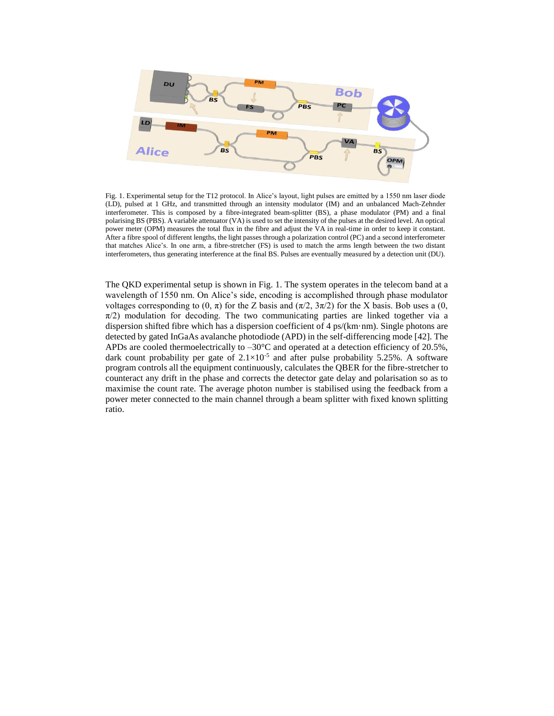

Fig. 1. Experimental setup for the T12 protocol. In Alice's layout, light pulses are emitted by a 1550 nm laser diode (LD), pulsed at 1 GHz, and transmitted through an intensity modulator (IM) and an unbalanced Mach-Zehnder interferometer. This is composed by a fibre-integrated beam-splitter (BS), a phase modulator (PM) and a final polarising BS (PBS). A variable attenuator (VA) is used to set the intensity of the pulses at the desired level. An optical power meter (OPM) measures the total flux in the fibre and adjust the VA in real-time in order to keep it constant. After a fibre spool of different lengths, the light passes through a polarization control (PC) and a second interferometer that matches Alice's. In one arm, a fibre-stretcher (FS) is used to match the arms length between the two distant interferometers, thus generating interference at the final BS. Pulses are eventually measured by a detection unit (DU).

The QKD experimental setup is shown in Fig. 1. The system operates in the telecom band at a wavelength of 1550 nm. On Alice's side, encoding is accomplished through phase modulator voltages corresponding to  $(0, \pi)$  for the Z basis and  $(\pi/2, 3\pi/2)$  for the X basis. Bob uses a  $(0, \pi)$  $\pi/2$ ) modulation for decoding. The two communicating parties are linked together via a dispersion shifted fibre which has a dispersion coefficient of 4 ps/(km·nm). Single photons are detected by gated InGaAs avalanche photodiode (APD) in the self-differencing mode [42]. The APDs are cooled thermoelectrically to  $-30^{\circ}$ C and operated at a detection efficiency of 20.5%, dark count probability per gate of  $2.1 \times 10^{-5}$  and after pulse probability 5.25%. A software program controls all the equipment continuously, calculates the QBER for the fibre-stretcher to counteract any drift in the phase and corrects the detector gate delay and polarisation so as to maximise the count rate. The average photon number is stabilised using the feedback from a power meter connected to the main channel through a beam splitter with fixed known splitting ratio.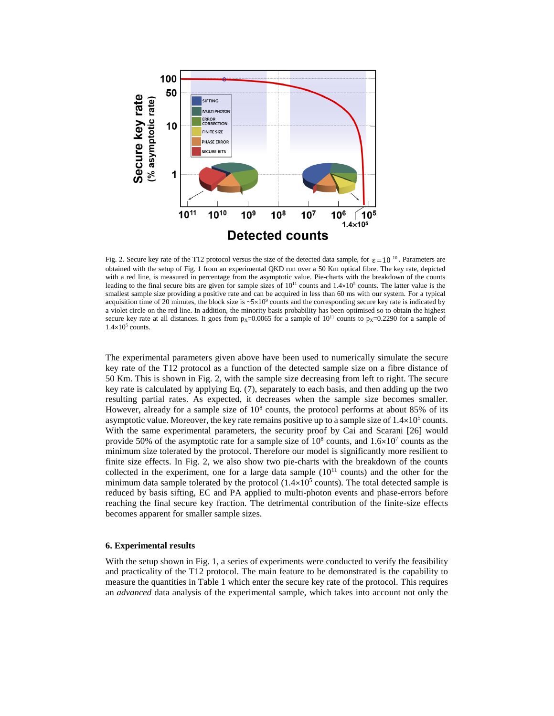

Fig. 2. Secure key rate of the T12 protocol versus the size of the detected data sample, for  $\varepsilon = 10^{-10}$ . Parameters are obtained with the setup of Fig. 1 from an experimental QKD run over a 50 Km optical fibre. The key rate, depicted with a red line, is measured in percentage from the asymptotic value. Pie-charts with the breakdown of the counts leading to the final secure bits are given for sample sizes of  $10^{11}$  counts and  $1.4\times10^{5}$  counts. The latter value is the smallest sample size providing a positive rate and can be acquired in less than 60 ms with our system. For a typical acquisition time of 20 minutes, the block size is  $\sim 5 \times 10^9$  counts and the corresponding secure key rate is indicated by a violet circle on the red line. In addition, the minority basis probability has been optimised so to obtain the highest secure key rate at all distances. It goes from  $p_x=0.0065$  for a sample of  $10^{11}$  counts to  $p_x=0.2290$  for a sample of  $1.4\times10^5$  counts.

The experimental parameters given above have been used to numerically simulate the secure key rate of the T12 protocol as a function of the detected sample size on a fibre distance of 50.Km. This is shown in Fig. 2, with the sample size decreasing from left to right. The secure key rate is calculated by applying Eq. (7), separately to each basis, and then adding up the two resulting partial rates. As expected, it decreases when the sample size becomes smaller. However, already for a sample size of  $10<sup>8</sup>$  counts, the protocol performs at about 85% of its asymptotic value. Moreover, the key rate remains positive up to a sample size of  $1.4 \times 10^5$  counts. With the same experimental parameters, the security proof by Cai and Scarani [26] would provide 50% of the asymptotic rate for a sample size of  $10^8$  counts, and  $1.6\times10^7$  counts as the minimum size tolerated by the protocol. Therefore our model is significantly more resilient to finite size effects. In Fig. 2, we also show two pie-charts with the breakdown of the counts collected in the experiment, one for a large data sample  $(10^{11}$  counts) and the other for the minimum data sample tolerated by the protocol  $(1.4 \times 10^5 \text{ counts})$ . The total detected sample is reduced by basis sifting, EC and PA applied to multi-photon events and phase-errors before reaching the final secure key fraction. The detrimental contribution of the finite-size effects becomes apparent for smaller sample sizes.

#### **6. Experimental results**

With the setup shown in Fig. 1, a series of experiments were conducted to verify the feasibility and practicality of the T12 protocol. The main feature to be demonstrated is the capability to measure the quantities in Table 1 which enter the secure key rate of the protocol. This requires an *advanced* data analysis of the experimental sample, which takes into account not only the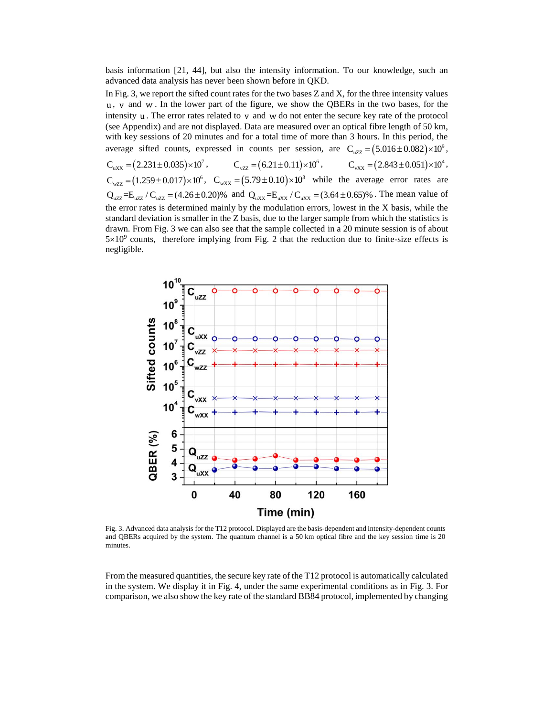basis information [21, 44], but also the intensity information. To our knowledge, such an advanced data analysis has never been shown before in QKD.

In Fig. 3, we report the sifted count rates for the two bases Z and X, for the three intensity values u , v and w . In the lower part of the figure, we show the QBERs in the two bases, for the intensity  $\mu$ . The error rates related to  $\nu$  and  $\nu$  do not enter the secure key rate of the protocol (see Appendix) and are not displayed. Data are measured over an optical fibre length of 50 km, with key sessions of 20 minutes and for a total time of more than 3 hours. In this period, the with key sessions of 20 minutes and for a total time of more than 5 hours. In this period, the average sifted counts, expressed in counts per session, are  $C_{wzz} = (5.016 \pm 0.082) \times 10^9$ ,  $C_{\text{uXX}} = (2.231 \pm 0.035) \times 10^7$ ,  $C_{\text{vZZ}} = (6.21 \pm 0.11) \times 10^6$ ,  $C_{\text{vXX}} = (2.843 \pm 0.051) \times 10^4$ ,  $C_{wZZ} = (1.259 \pm 0.017) \times 10^6$ ,  $C_{wXX} = (5.79 \pm 0.10) \times 10^3$  while the average error rates are  $Q_{\text{wZZ}} = (1.239 \pm 0.017) \times 10^{-4}$ ,  $Q_{\text{wXX}} = (3.79 \pm 0.10) \times 10^{-4}$  wille the average error rates are  $Q_{\text{wZZ}} = E_{\text{wZZ}} / C_{\text{wZZ}} = (4.26 \pm 0.20)\%$  and  $Q_{\text{wXX}} = E_{\text{wXX}} / C_{\text{wXX}} = (3.64 \pm 0.65)\%$ . The mean value of the error rates is determined mainly by the modulation errors, lowest in the X basis, while the standard deviation is smaller in the Z basis, due to the larger sample from which the statistics is drawn. From Fig. 3 we can also see that the sample collected in a 20 minute session is of about  $5\times10^9$  counts, therefore implying from Fig. 2 that the reduction due to finite-size effects is negligible.



Fig. 3. Advanced data analysis for the T12 protocol. Displayed are the basis-dependent and intensity-dependent counts and QBERs acquired by the system. The quantum channel is a 50 km optical fibre and the key session time is 20 minutes.

From the measured quantities, the secure key rate of the T12 protocol is automatically calculated in the system. We display it in Fig. 4, under the same experimental conditions as in Fig. 3. For comparison, we also show the key rate of the standard BB84 protocol, implemented by changing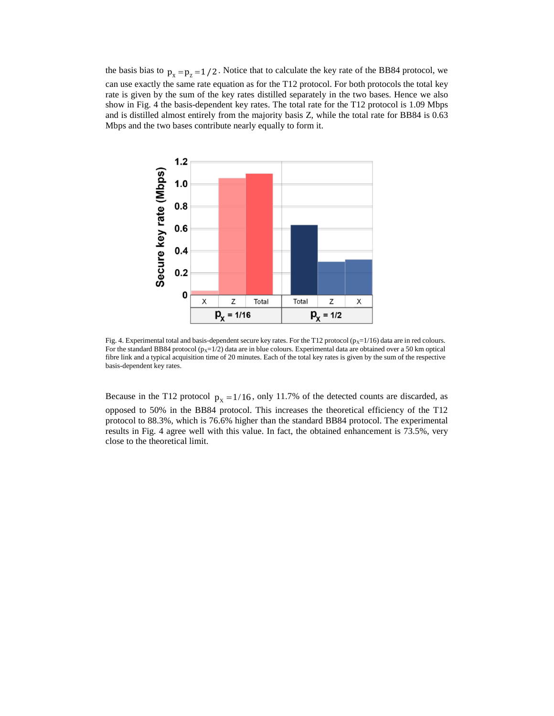the basis bias to  $p_x = p_z = 1/2$ . Notice that to calculate the key rate of the BB84 protocol, we can use exactly the same rate equation as for the T12 protocol. For both protocols the total key rate is given by the sum of the key rates distilled separately in the two bases. Hence we also show in Fig. 4 the basis-dependent key rates. The total rate for the T12 protocol is 1.09 Mbps and is distilled almost entirely from the majority basis Z, while the total rate for BB84 is 0.63 Mbps and the two bases contribute nearly equally to form it.



Fig. 4. Experimental total and basis-dependent secure key rates. For the T12 protocol ( $p_x=1/16$ ) data are in red colours. For the standard BB84 protocol ( $p_x=1/2$ ) data are in blue colours. Experimental data are obtained over a 50 km optical fibre link and a typical acquisition time of 20 minutes. Each of the total key rates is given by the sum of the respective basis-dependent key rates.

Because in the T12 protocol  $p_x = 1/16$ , only 11.7% of the detected counts are discarded, as opposed to 50% in the BB84 protocol. This increases the theoretical efficiency of the T12 protocol to 88.3%, which is 76.6% higher than the standard BB84 protocol. The experimental results in Fig. 4 agree well with this value. In fact, the obtained enhancement is 73.5%, very close to the theoretical limit.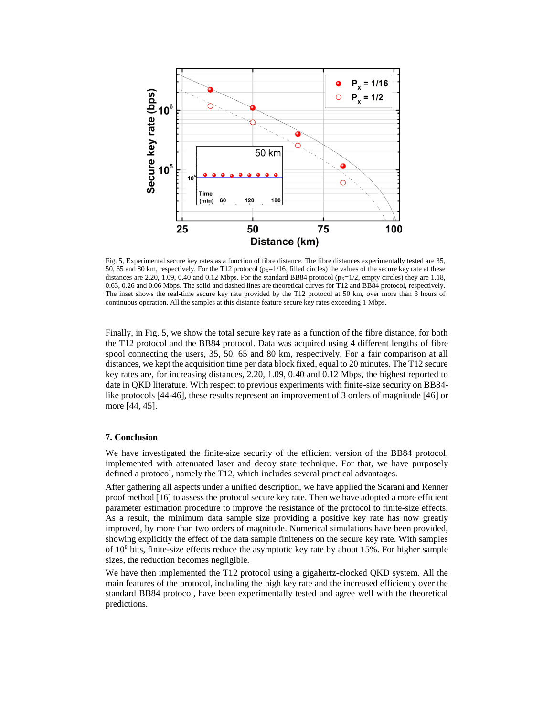

Fig. 5, Experimental secure key rates as a function of fibre distance. The fibre distances experimentally tested are 35, 50, 65 and 80 km, respectively. For the T12 protocol ( $p_x=1/16$ , filled circles) the values of the secure key rate at these distances are 2.20, 1.09, 0.40 and 0.12 Mbps. For the standard BB84 protocol ( $p_x=1/2$ , empty circles) they are 1.18, 0.63, 0.26 and 0.06 Mbps. The solid and dashed lines are theoretical curves for T12 and BB84 protocol, respectively. The inset shows the real-time secure key rate provided by the T12 protocol at 50 km, over more than 3 hours of continuous operation. All the samples at this distance feature secure key rates exceeding 1 Mbps.

Finally, in Fig. 5, we show the total secure key rate as a function of the fibre distance, for both the T12 protocol and the BB84 protocol. Data was acquired using 4 different lengths of fibre spool connecting the users, 35, 50, 65 and 80 km, respectively. For a fair comparison at all distances, we kept the acquisition time per data block fixed, equal to 20 minutes. The T12 secure key rates are, for increasing distances, 2.20, 1.09, 0.40 and 0.12 Mbps, the highest reported to date in QKD literature. With respect to previous experiments with finite-size security on BB84 like protocols [44-46], these results represent an improvement of 3 orders of magnitude [46] or more [44, 45].

# **7. Conclusion**

We have investigated the finite-size security of the efficient version of the BB84 protocol, implemented with attenuated laser and decoy state technique. For that, we have purposely defined a protocol, namely the T12, which includes several practical advantages.

After gathering all aspects under a unified description, we have applied the Scarani and Renner proof method [16] to assess the protocol secure key rate. Then we have adopted a more efficient parameter estimation procedure to improve the resistance of the protocol to finite-size effects. As a result, the minimum data sample size providing a positive key rate has now greatly improved, by more than two orders of magnitude. Numerical simulations have been provided, showing explicitly the effect of the data sample finiteness on the secure key rate. With samples of 10<sup>8</sup> bits, finite-size effects reduce the asymptotic key rate by about 15%. For higher sample sizes, the reduction becomes negligible.

We have then implemented the T12 protocol using a gigahertz-clocked QKD system. All the main features of the protocol, including the high key rate and the increased efficiency over the standard BB84 protocol, have been experimentally tested and agree well with the theoretical predictions.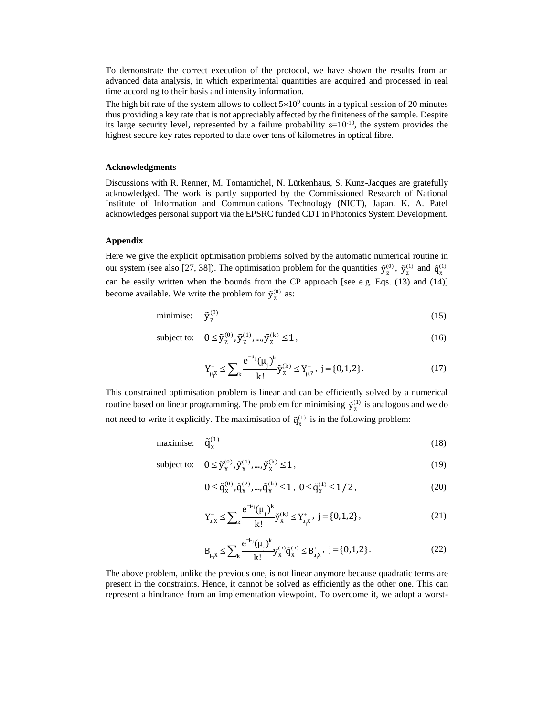To demonstrate the correct execution of the protocol, we have shown the results from an advanced data analysis, in which experimental quantities are acquired and processed in real time according to their basis and intensity information.

The high bit rate of the system allows to collect  $5\times10^9$  counts in a typical session of 20 minutes thus providing a key rate that is not appreciably affected by the finiteness of the sample. Despite its large security level, represented by a failure probability  $\varepsilon=10^{-10}$ , the system provides the highest secure key rates reported to date over tens of kilometres in optical fibre.

#### **Acknowledgments**

Discussions with R. Renner, M. Tomamichel, N. Lütkenhaus, S. Kunz-Jacques are gratefully acknowledged. The work is partly supported by the Commissioned Research of National Institute of Information and Communications Technology (NICT), Japan. K. A. Patel acknowledges personal support via the EPSRC funded CDT in Photonics System Development.

## **Appendix**

Here we give the explicit optimisation problems solved by the automatic numerical routine in our system (see also [27, 38]). The optimisation problem for the quantities  $\tilde{y}_z^{(0)}$ ,  $\tilde{y}_z^{(1)}$  and  $\tilde{q}_x^{(1)}$ can be easily written when the bounds from the CP approach [see e.g. Eqs. (13) and (14)] become available. We write the problem for  $\tilde{y}_z^{(0)}$  as:

$$
\text{minimise:} \quad \tilde{\mathbf{y}}_2^{(0)} \tag{15}
$$

subject to:  $0 \le \tilde{y}_z^{(0)}, \tilde{y}_z^{(1)}, ..., \tilde{y}_z^{(k)} \le 1$ , (16)

$$
Y_{\mu,Z}^{-} \leq \sum_{k} \frac{e^{-\mu_j}(\mu_j)^k}{k!} \tilde{y}_Z^{(k)} \leq Y_{\mu,Z}^{+}, \ j = \{0,1,2\}.
$$
 (17)

This constrained optimisation problem is linear and can be efficiently solved by a numerical routine based on linear programming. The problem for minimising  $\tilde{y}_z^{(1)}$  is analogous and we do not need to write it explicitly. The maximisation of  $\tilde{q}_X^{(1)}$  is in the following problem:

$$
\text{maximise:} \quad \tilde{\mathbf{q}}_{\mathbf{X}}^{(1)} \tag{18}
$$

subje

$$
\text{ject to:} \quad 0 \le \tilde{y}_{X}^{(0)}, \tilde{y}_{X}^{(1)}, ..., \tilde{y}_{X}^{(k)} \le 1,\tag{19}
$$

$$
0 \le \tilde{q}_X^{(0)}, \tilde{q}_X^{(2)}, ..., \tilde{q}_X^{(k)} \le 1, \ 0 \le \tilde{q}_X^{(1)} \le 1/2, \tag{20}
$$

$$
Y_{\mu,X}^{-} \leq \sum_{k} \frac{e^{-\mu_{j}}(\mu_{j})^{k}}{k!} \tilde{y}_{X}^{(k)} \leq Y_{\mu,X}^{+}, \quad j = \{0,1,2\},
$$
 (21)

$$
B_{\mu,X}^- \le \sum_{k} \frac{e^{-\mu_j}(\mu_j)^k}{k!} \tilde{y}_X^{(k)} \tilde{q}_X^{(k)} \le B_{\mu,X}^+, \ j = \{0,1,2\}.
$$
 (22)

The above problem, unlike the previous one, is not linear anymore because quadratic terms are present in the constraints. Hence, it cannot be solved as efficiently as the other one. This can represent a hindrance from an implementation viewpoint. To overcome it, we adopt a worst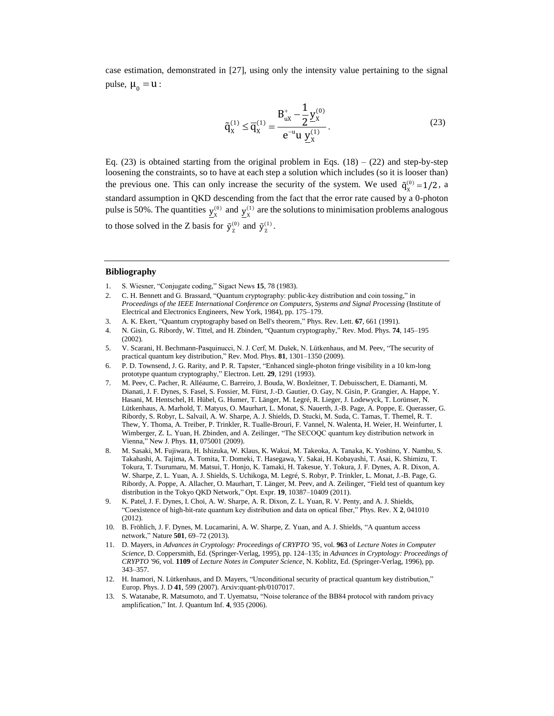case estimation, demonstrated in [27], using only the intensity value pertaining to the signal pulse,  $\mu_0 = u$ :

$$
\tilde{q}_X^{(1)} \le \overline{q}_X^{(1)} = \frac{B_{uX}^+ - \frac{1}{2} \underline{y}_X^{(0)}}{e^{-u} u \underline{y}_X^{(1)}}.
$$
\n(23)

Eq.  $(23)$  is obtained starting from the original problem in Eqs.  $(18) - (22)$  and step-by-step loosening the constraints, so to have at each step a solution which includes (so it is looser than) the previous one. This can only increase the security of the system. We used  $\tilde{q}_x^{(0)} = 1/2$ , a standard assumption in QKD descending from the fact that the error rate caused by a 0-photon pulse is 50%. The quantities  $y_x^{(0)}$  and  $y_x^{(1)}$  are the solutions to minimisation problems analogous to those solved in the Z basis for  $\tilde{y}_z^{(0)}$  and  $\tilde{y}_z^{(1)}$ .

#### **Bibliography**

- 1. S. Wiesner, "Conjugate coding," Sigact News **15**, 78 (1983).
- 2. C. H. Bennett and G. Brassard, "Quantum cryptography: public-key distribution and coin tossing," in *Proceedings of the IEEE International Conference on Computers, Systems and Signal Processing* (Institute of Electrical and Electronics Engineers, New York, 1984), pp. 175–179.
- 3. A. K. Ekert, "Quantum cryptography based on Bell's theorem," Phys. Rev. Lett. **67**, 661 (1991).
- 4. N. Gisin, G. Ribordy, W. Tittel, and H. Zbinden, "Quantum cryptography," Rev. Mod. Phys. **74**, 145–195 (2002).
- 5. V. Scarani, H. Bechmann-Pasquinucci, N. J. Cerf, M. Dušek, N. Lütkenhaus, and M. Peev, "The security of practical quantum key distribution," Rev. Mod. Phys. **81**, 1301–1350 (2009).
- 6. P. D. Townsend, J. G. Rarity, and P. R. Tapster, "Enhanced single-photon fringe visibility in a 10 km-long prototype quantum cryptography," Electron. Lett. **29**, 1291 (1993).
- 7. M. Peev, C. Pacher, R. Alléaume, C. Barreiro, J. Bouda, W. Boxleitner, T. Debuisschert, E. Diamanti, M. Dianati, J. F. Dynes, S. Fasel, S. Fossier, M. Fürst, J.-D. Gautier, O. Gay, N. Gisin, P. Grangier, A. Happe, Y. Hasani, M. Hentschel, H. Hübel, G. Humer, T. Länger, M. Legré, R. Lieger, J. Lodewyck, T. Lorünser, N. Lütkenhaus, A. Marhold, T. Matyus, O. Maurhart, L. Monat, S. Nauerth, J.-B. Page, A. Poppe, E. Querasser, G. Ribordy, S. Robyr, L. Salvail, A. W. Sharpe, A. J. Shields, D. Stucki, M. Suda, C. Tamas, T. Themel, R. T. Thew, Y. Thoma, A. Treiber, P. Trinkler, R. Tualle-Brouri, F. Vannel, N. Walenta, H. Weier, H. Weinfurter, I. Wimberger, Z. L. Yuan, H. Zbinden, and A. Zeilinger, "The SECOQC quantum key distribution network in Vienna," New J. Phys. **11**, 075001 (2009).
- 8. M. Sasaki, M. Fujiwara, H. Ishizuka, W. Klaus, K. Wakui, M. Takeoka, A. Tanaka, K. Yoshino, Y. Nambu, S. Takahashi, A. Tajima, A. Tomita, T. Domeki, T. Hasegawa, Y. Sakai, H. Kobayashi, T. Asai, K. Shimizu, T. Tokura, T. Tsurumaru, M. Matsui, T. Honjo, K. Tamaki, H. Takesue, Y. Tokura, J. F. Dynes, A. R. Dixon, A. W. Sharpe, Z. L. Yuan, A. J. Shields, S. Uchikoga, M. Legré, S. Robyr, P. Trinkler, L. Monat, J.-B. Page, G. Ribordy, A. Poppe, A. Allacher, O. Maurhart, T. Länger, M. Peev, and A. Zeilinger, "Field test of quantum key distribution in the Tokyo QKD Network," Opt. Expr. **19**, 10387–10409 (2011).
- 9. K. Patel, J. F. Dynes, I. Choi, A. W. Sharpe, A. R. Dixon, Z. L. Yuan, R. V. Penty, and A. J. Shields, "Coexistence of high-bit-rate quantum key distribution and data on optical fiber," Phys. Rev. X **2**, 041010 (2012).
- 10. B. Fröhlich, J. F. Dynes, M. Lucamarini, A. W. Sharpe, Z. Yuan, and A. J. Shields, "A quantum access network," Nature **501**, 69–72 (2013).
- 11. D. Mayers, in *Advances in Cryptology: Proceedings of CRYPTO '95*, vol. **963** of *Lecture Notes in Computer Science*, D. Coppersmith, Ed. (Springer-Verlag, 1995), pp. 124–135; in *Advances in Cryptology: Proceedings of CRYPTO '96*, vol. **1109** of *Lecture Notes in Computer Science*, N. Koblitz, Ed. (Springer-Verlag, 1996), pp. 343–357.
- 12. H. Inamori, N. Lütkenhaus, and D. Mayers, "Unconditional security of practical quantum key distribution," Europ. Phys. J. D **41**, 599 (2007). Arxiv:quant-ph/0107017.
- 13. S. Watanabe, R. Matsumoto, and T. Uyematsu, "Noise tolerance of the BB84 protocol with random privacy amplification," Int. J. Quantum Inf. **4**, 935 (2006).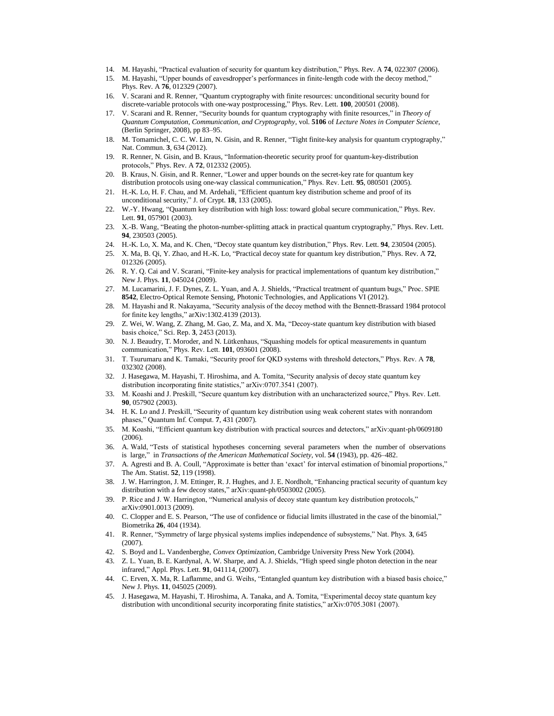- 14. M. Hayashi, "Practical evaluation of security for quantum key distribution," Phys. Rev. A **74**, 022307 (2006).
- 15. M. Hayashi, "Upper bounds of eavesdropper's performances in finite-length code with the decoy method," Phys. Rev. A **76**, 012329 (2007).
- 16. V. Scarani and R. Renner, "Quantum cryptography with finite resources: unconditional security bound for discrete-variable protocols with one-way postprocessing," Phys. Rev. Lett. **100**, 200501 (2008).
- 17. V. Scarani and R. Renner, "Security bounds for quantum cryptography with finite resources," in *Theory of Quantum Computation, Communication, and Cryptography*, vol. **5106** of *Lecture Notes in Computer Science*, (Berlin Springer, 2008), pp 83–95.
- 18. M. Tomamichel, C. C. W. Lim, N. Gisin, and R. Renner, "Tight finite-key analysis for quantum cryptography," Nat. Commun. **3**, 634 (2012).
- 19. R. Renner, N. Gisin, and B. Kraus, "Information-theoretic security proof for quantum-key-distribution protocols," Phys. Rev. A **72**, 012332 (2005).
- 20. B. Kraus, N. Gisin, and R. Renner, "Lower and upper bounds on the secret-key rate for quantum key distribution protocols using one-way classical communication," Phys. Rev. Lett. **95**, 080501 (2005).
- 21. H.-K. Lo, H. F. Chau, and M. Ardehali, "Efficient quantum key distribution scheme and proof of its unconditional security," J. of Crypt. **18**, 133 (2005).
- 22. W.-Y. Hwang, "Quantum key distribution with high loss: toward global secure communication," Phys. Rev. Lett. **91**, 057901 (2003).
- 23. X.-B. Wang, "Beating the photon-number-splitting attack in practical quantum cryptography," Phys. Rev. Lett. **94**, 230503 (2005).
- 24. H.-K. Lo, X. Ma, and K. Chen, "Decoy state quantum key distribution," Phys. Rev. Lett. **94**, 230504 (2005).
- 25. X. Ma, B. Qi, Y. Zhao, and H.-K. Lo, "Practical decoy state for quantum key distribution," Phys. Rev. A **72**, 012326 (2005).
- 26. R. Y. Q. Cai and V. Scarani, "Finite-key analysis for practical implementations of quantum key distribution," New J. Phys. **11**, 045024 (2009).
- 27. M. Lucamarini, J. F. Dynes, Z. L. Yuan, and A. J. Shields, "Practical treatment of quantum bugs," Proc. SPIE **8542**, Electro-Optical Remote Sensing, Photonic Technologies, and Applications VI (2012).
- 28. M. Hayashi and R. Nakayama, "Security analysis of the decoy method with the Bennett-Brassard 1984 protocol for finite key lengths," arXiv:1302.4139 (2013).
- 29. Z. Wei, W. Wang, Z. Zhang, M. Gao, Z. Ma, and X. Ma, "Decoy-state quantum key distribution with biased basis choice," Sci. Rep. **3**, 2453 (2013).
- 30. N. J. Beaudry, T. Moroder, and N. Lütkenhaus, "Squashing models for optical measurements in quantum communication," Phys. Rev. Lett. **101**, 093601 (2008).
- 31. T. Tsurumaru and K. Tamaki, "Security proof for QKD systems with threshold detectors," Phys. Rev. A **78**, 032302 (2008).
- 32. J. Hasegawa, M. Hayashi, T. Hiroshima, and A. Tomita, "Security analysis of decoy state quantum key distribution incorporating finite statistics," arXiv:0707.3541 (2007).
- 33. M. Koashi and J. Preskill, "Secure quantum key distribution with an uncharacterized source," Phys. Rev. Lett. **90**, 057902 (2003).
- 34. H. K. Lo and J. Preskill, "Security of quantum key distribution using weak coherent states with nonrandom phases," Quantum Inf. Comput. **7**, 431 (2007).
- 35. M. Koashi, "Efficient quantum key distribution with practical sources and detectors," arXiv:quant-ph/0609180 (2006).
- 36. A. Wald, "Tests of statistical hypotheses concerning several parameters when the number of observations is large," in *Transactions of the American Mathematical Society*, vol. **54** (1943), pp. 426–482.
- 37. A. Agresti and B. A. Coull, "Approximate is better than 'exact' for interval estimation of binomial proportions," The Am. Statist. **52**, 119 (1998).
- 38. J. W. Harrington, J. M. Ettinger, R. J. Hughes, and J. E. Nordholt, "Enhancing practical security of quantum key distribution with a few decoy states," arXiv:quant-ph/0503002 (2005).
- 39. P. Rice and J. W. Harrington, "Numerical analysis of decoy state quantum key distribution protocols," arXiv:0901.0013 (2009).
- 40. C. Clopper and E. S. Pearson, "The use of confidence or fiducial limits illustrated in the case of the binomial," Biometrika **26**, 404 (1934).
- 41. R. Renner, "Symmetry of large physical systems implies independence of subsystems," Nat. Phys. **3**, 645 (2007).
- 42. S. Boyd and L. Vandenberghe, *Convex Optimization*, Cambridge University Press New York (2004).
- 43. Z. L. Yuan, B. E. Kardynal, A. W. Sharpe, and A. J. Shields, "High speed single photon detection in the near infrared," Appl. Phys. Lett. **91**, 041114, (2007).
- 44. C. Erven, X. Ma, R. Laflamme, and G. Weihs, "Entangled quantum key distribution with a biased basis choice," New J. Phys. **11**, 045025 (2009).
- 45. J. Hasegawa, M. Hayashi, T. Hiroshima, A. Tanaka, and A. Tomita, "Experimental decoy state quantum key distribution with unconditional security incorporating finite statistics," arXiv:0705.3081 (2007).